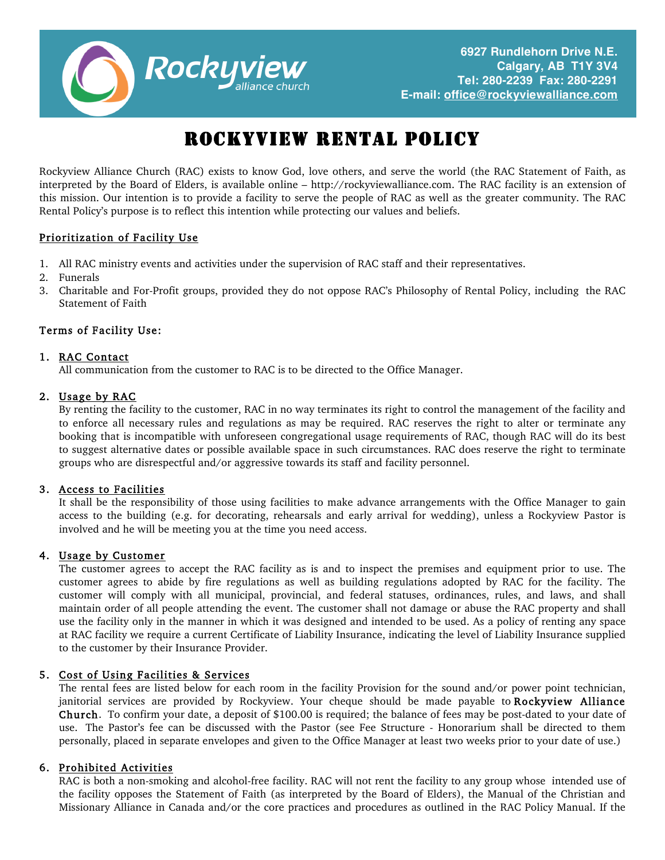

# ROCKYVIEW RENTAL POLICY

Rockyview Alliance Church (RAC) exists to know God, love others, and serve the world (the RAC Statement of Faith, as interpreted by the Board of Elders, is available online – http://rockyviewalliance.com. The RAC facility is an extension of this mission. Our intention is to provide a facility to serve the people of RAC as well as the greater community. The RAC Rental Policy's purpose is to reflect this intention while protecting our values and beliefs.

#### Prioritization of Facility Use

- 1. All RAC ministry events and activities under the supervision of RAC staff and their representatives.
- 2. Funerals
- 3. Charitable and For-Profit groups, provided they do not oppose RAC's Philosophy of Rental Policy, including the RAC Statement of Faith

#### Terms of Facility Use:

#### 1. RAC Contact

All communication from the customer to RAC is to be directed to the Office Manager.

#### 2. Usage by RAC

By renting the facility to the customer, RAC in no way terminates its right to control the management of the facility and to enforce all necessary rules and regulations as may be required. RAC reserves the right to alter or terminate any booking that is incompatible with unforeseen congregational usage requirements of RAC, though RAC will do its best to suggest alternative dates or possible available space in such circumstances. RAC does reserve the right to terminate groups who are disrespectful and/or aggressive towards its staff and facility personnel.

#### 3. Access to Facilities

It shall be the responsibility of those using facilities to make advance arrangements with the Office Manager to gain access to the building (e.g. for decorating, rehearsals and early arrival for wedding), unless a Rockyview Pastor is involved and he will be meeting you at the time you need access.

#### 4. Usage by Customer

The customer agrees to accept the RAC facility as is and to inspect the premises and equipment prior to use. The customer agrees to abide by fire regulations as well as building regulations adopted by RAC for the facility. The customer will comply with all municipal, provincial, and federal statuses, ordinances, rules, and laws, and shall maintain order of all people attending the event. The customer shall not damage or abuse the RAC property and shall use the facility only in the manner in which it was designed and intended to be used. As a policy of renting any space at RAC facility we require a current Certificate of Liability Insurance, indicating the level of Liability Insurance supplied to the customer by their Insurance Provider.

#### 5. Cost of Using Facilities & Services

The rental fees are listed below for each room in the facility Provision for the sound and/or power point technician, janitorial services are provided by Rockyview. Your cheque should be made payable to Rockyview Alliance Church. To confirm your date, a deposit of \$100.00 is required; the balance of fees may be post-dated to your date of use. The Pastor's fee can be discussed with the Pastor (see Fee Structure - Honorarium shall be directed to them personally, placed in separate envelopes and given to the Office Manager at least two weeks prior to your date of use.)

#### 6. Prohibited Activities

RAC is both a non-smoking and alcohol-free facility. RAC will not rent the facility to any group whose intended use of the facility opposes the Statement of Faith (as interpreted by the Board of Elders), the Manual of the Christian and Missionary Alliance in Canada and/or the core practices and procedures as outlined in the RAC Policy Manual. If the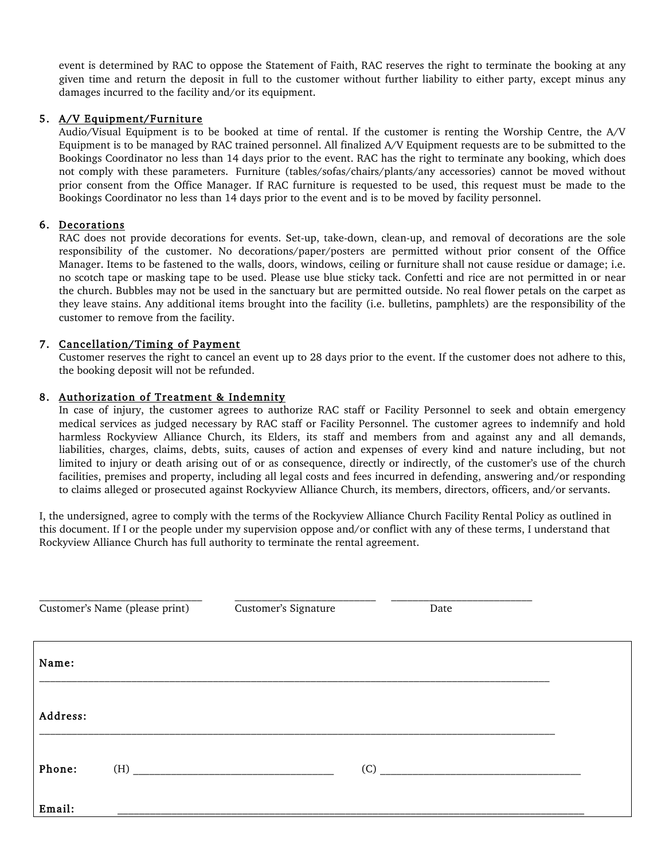event is determined by RAC to oppose the Statement of Faith, RAC reserves the right to terminate the booking at any given time and return the deposit in full to the customer without further liability to either party, except minus any damages incurred to the facility and/or its equipment.

#### 5. A/V Equipment/Furniture

Audio/Visual Equipment is to be booked at time of rental. If the customer is renting the Worship Centre, the A/V Equipment is to be managed by RAC trained personnel. All finalized A/V Equipment requests are to be submitted to the Bookings Coordinator no less than 14 days prior to the event. RAC has the right to terminate any booking, which does not comply with these parameters. Furniture (tables/sofas/chairs/plants/any accessories) cannot be moved without prior consent from the Office Manager. If RAC furniture is requested to be used, this request must be made to the Bookings Coordinator no less than 14 days prior to the event and is to be moved by facility personnel.

#### 6. Decorations

RAC does not provide decorations for events. Set-up, take-down, clean-up, and removal of decorations are the sole responsibility of the customer. No decorations/paper/posters are permitted without prior consent of the Office Manager. Items to be fastened to the walls, doors, windows, ceiling or furniture shall not cause residue or damage; i.e. no scotch tape or masking tape to be used. Please use blue sticky tack. Confetti and rice are not permitted in or near the church. Bubbles may not be used in the sanctuary but are permitted outside. No real flower petals on the carpet as they leave stains. Any additional items brought into the facility (i.e. bulletins, pamphlets) are the responsibility of the customer to remove from the facility.

#### 7. Cancellation/Timing of Payment

Customer reserves the right to cancel an event up to 28 days prior to the event. If the customer does not adhere to this, the booking deposit will not be refunded.

#### 8. Authorization of Treatment & Indemnity

In case of injury, the customer agrees to authorize RAC staff or Facility Personnel to seek and obtain emergency medical services as judged necessary by RAC staff or Facility Personnel. The customer agrees to indemnify and hold harmless Rockyview Alliance Church, its Elders, its staff and members from and against any and all demands, liabilities, charges, claims, debts, suits, causes of action and expenses of every kind and nature including, but not limited to injury or death arising out of or as consequence, directly or indirectly, of the customer's use of the church facilities, premises and property, including all legal costs and fees incurred in defending, answering and/or responding to claims alleged or prosecuted against Rockyview Alliance Church, its members, directors, officers, and/or servants.

I, the undersigned, agree to comply with the terms of the Rockyview Alliance Church Facility Rental Policy as outlined in this document. If I or the people under my supervision oppose and/or conflict with any of these terms, I understand that Rockyview Alliance Church has full authority to terminate the rental agreement.

|          | Customer's Name (please print) | Customer's Signature | Date |  |
|----------|--------------------------------|----------------------|------|--|
| Name:    |                                |                      |      |  |
| Address: |                                |                      |      |  |
| Phone:   | (H)                            |                      | (C)  |  |
| Email:   |                                |                      |      |  |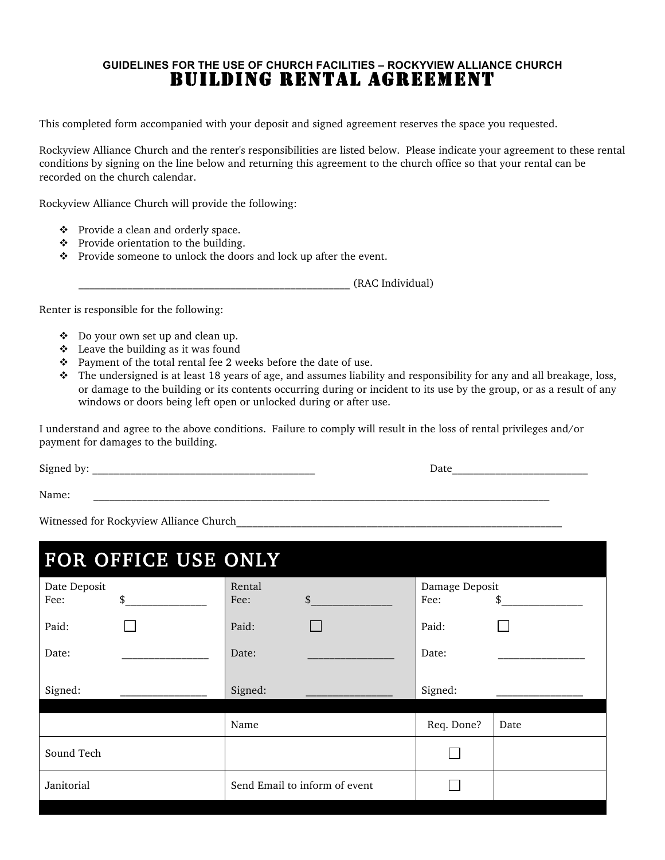### **GUIDELINES FOR THE USE OF CHURCH FACILITIES – ROCKYVIEW ALLIANCE CHURCH** BUILDING RENTAL AGREEMENT

This completed form accompanied with your deposit and signed agreement reserves the space you requested.

Rockyview Alliance Church and the renter's responsibilities are listed below. Please indicate your agreement to these rental conditions by signing on the line below and returning this agreement to the church office so that your rental can be recorded on the church calendar.

Rockyview Alliance Church will provide the following:

- ❖ Provide a clean and orderly space.
- $\div$  Provide orientation to the building.
- $\mathbf{\hat{P}}$  Provide someone to unlock the doors and lock up after the event.

\_\_\_\_\_\_\_\_\_\_\_\_\_\_\_\_\_\_\_\_\_\_\_\_\_\_\_\_\_\_\_\_\_\_\_\_\_\_\_\_\_\_\_\_\_\_\_\_\_\_ (RAC Individual)

Renter is responsible for the following:

- $\bullet$  Do your own set up and clean up.
- $\triangleleft$  Leave the building as it was found
- $\div$  Payment of the total rental fee 2 weeks before the date of use.
- \* The undersigned is at least 18 years of age, and assumes liability and responsibility for any and all breakage, loss, or damage to the building or its contents occurring during or incident to its use by the group, or as a result of any windows or doors being left open or unlocked during or after use.

I understand and agree to the above conditions. Failure to comply will result in the loss of rental privileges and/or payment for damages to the building.

Signed by: The contract of the contract of the contract of the contract of the contract of the contract of the contract of the contract of the contract of the contract of the contract of the contract of the contract of the

Name: \_\_\_\_\_\_\_\_\_\_\_\_\_\_\_\_\_\_\_\_\_\_\_\_\_\_\_\_\_\_\_\_\_\_\_\_\_\_\_\_\_\_\_\_\_\_\_\_\_\_\_\_\_\_\_\_\_\_\_\_\_\_\_\_\_\_\_\_\_\_\_\_\_\_\_\_\_\_\_\_\_\_\_\_

Witnessed for Rockyview Alliance Church

| FOR OFFICE USE ONLY        |                                  |                              |  |  |
|----------------------------|----------------------------------|------------------------------|--|--|
| Date Deposit<br>\$<br>Fee: | Rental<br>$\mathfrak{S}$<br>Fee: | Damage Deposit<br>Fee:<br>\$ |  |  |
| Paid:                      | Paid:                            | Paid:                        |  |  |
| Date:                      | Date:                            | Date:                        |  |  |
| Signed:                    | Signed:                          | Signed:                      |  |  |
|                            | Name                             | Req. Done?<br>Date           |  |  |
| Sound Tech                 |                                  |                              |  |  |
| Janitorial                 | Send Email to inform of event    |                              |  |  |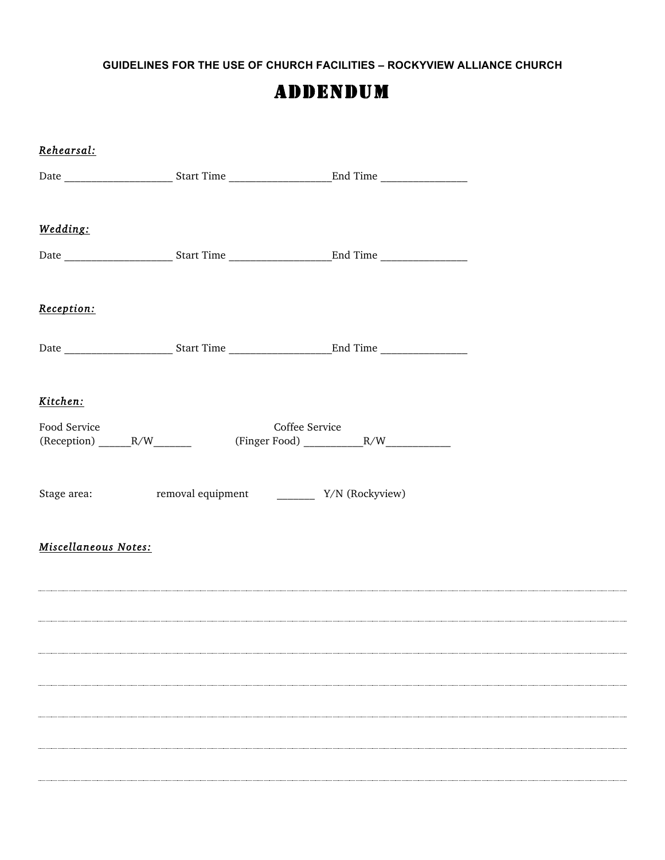**GUIDELINES FOR THE USE OF CHURCH FACILITIES – ROCKYVIEW ALLIANCE CHURCH**

## ADDENDUM

| Rehearsal:           |  |  |
|----------------------|--|--|
|                      |  |  |
| Wedding:             |  |  |
|                      |  |  |
| Reception:           |  |  |
|                      |  |  |
| Kitchen:             |  |  |
|                      |  |  |
|                      |  |  |
| Miscellaneous Notes: |  |  |
|                      |  |  |
|                      |  |  |
|                      |  |  |
|                      |  |  |
|                      |  |  |
|                      |  |  |